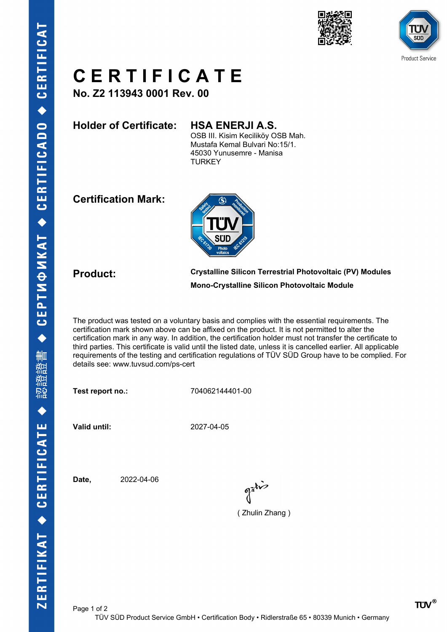



## **C E R T I F I C A T E**

**No. Z2 113943 0001 Rev. 00**

**Holder of Certificate: HSA ENERJI A.S.**

OSB III. Kisim Keciliköy OSB Mah. Mustafa Kemal Bulvari No:15/1. 45030 Yunusemre - Manisa **TURKEY** 

**Certification Mark:**



**Product: Crystalline Silicon Terrestrial Photovoltaic (PV) Modules Mono-Crystalline Silicon Photovoltaic Module**

The product was tested on a voluntary basis and complies with the essential requirements. The certification mark shown above can be affixed on the product. It is not permitted to alter the certification mark in any way. In addition, the certification holder must not transfer the certificate to third parties. This certificate is valid until the listed date, unless it is cancelled earlier. All applicable requirements of the testing and certification regulations of TÜV SÜD Group have to be complied. For details see: www.tuvsud.com/ps-cert

**Test report no.:** 704062144401-00

**Valid until:** 2027-04-05

**Date,** 2022-04-06

( Zhulin Zhang )